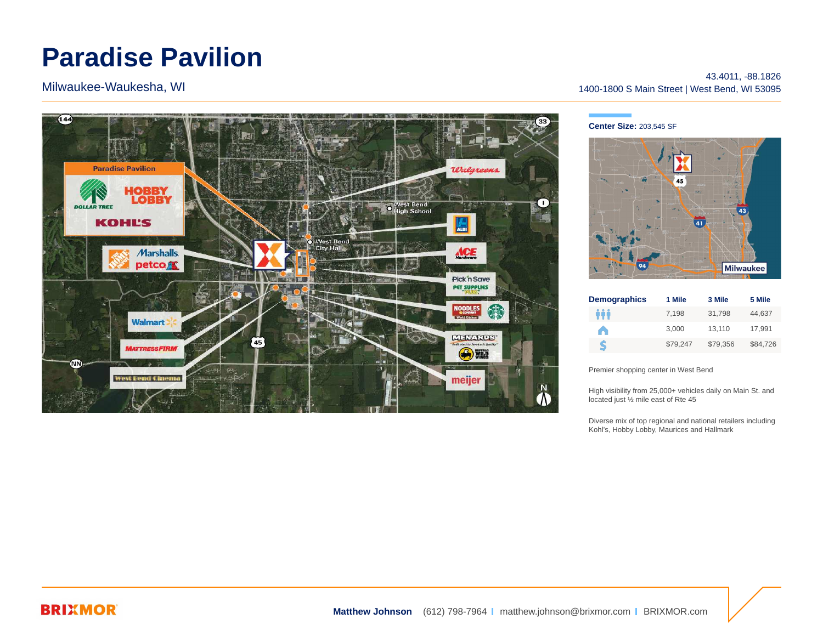# **Paradise Pavilion**

Milwaukee-Waukesha, WI



43.4011, -88.1826 1400-1800 S Main Street | West Bend, WI 53095

#### **Center Size:** 203,545 SF



| <b>Demographics</b> | 1 Mile   | 3 Mile   | 5 Mile   |
|---------------------|----------|----------|----------|
| ŶŶŶ                 | 7.198    | 31.798   | 44.637   |
| A                   | 3.000    | 13.110   | 17,991   |
| S                   | \$79.247 | \$79.356 | \$84.726 |

Premier shopping center in West Bend

High visibility from 25,000+ vehicles daily on Main St. and located just ½ mile east of Rte 45

Diverse mix of top regional and national retailers including Kohl's, Hobby Lobby, Maurices and Hallmark

### **BRIXMOR**